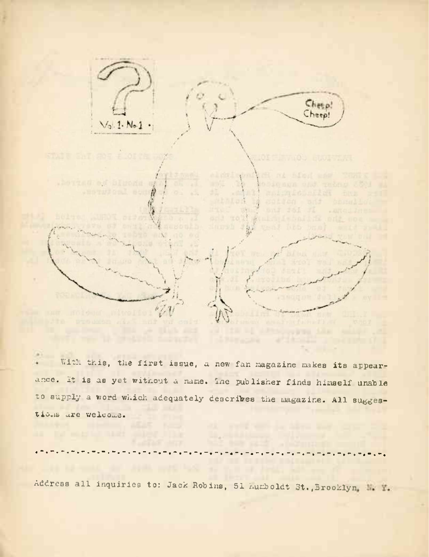

With this, the first issue, a new fan magazine makes its appearance. It is as yet without a name. Ine publisher finds himself unable to supply a word which adequately describes the magazine. All suggestions are welcome.

Address all inquiries to: Jack Robins, 51 Auxboldt St., Brooklyn, N. Y.